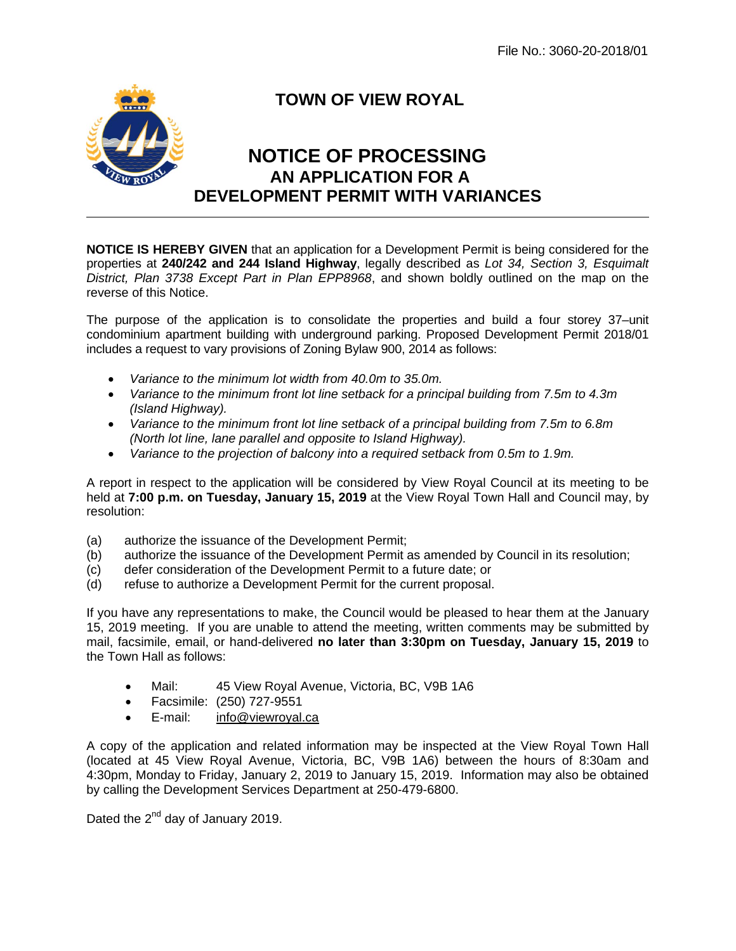

## **TOWN OF VIEW ROYAL**

## **NOTICE OF PROCESSING AN APPLICATION FOR A DEVELOPMENT PERMIT WITH VARIANCES**

**NOTICE IS HEREBY GIVEN** that an application for a Development Permit is being considered for the properties at **240/242 and 244 Island Highway**, legally described as *Lot 34, Section 3, Esquimalt District, Plan 3738 Except Part in Plan EPP8968*, and shown boldly outlined on the map on the reverse of this Notice.

The purpose of the application is to consolidate the properties and build a four storey 37–unit condominium apartment building with underground parking. Proposed Development Permit 2018/01 includes a request to vary provisions of Zoning Bylaw 900, 2014 as follows:

- *Variance to the minimum lot width from 40.0m to 35.0m.*
- *Variance to the minimum front lot line setback for a principal building from 7.5m to 4.3m (Island Highway).*
- *Variance to the minimum front lot line setback of a principal building from 7.5m to 6.8m (North lot line, lane parallel and opposite to Island Highway).*
- *Variance to the projection of balcony into a required setback from 0.5m to 1.9m.*

A report in respect to the application will be considered by View Royal Council at its meeting to be held at **7:00 p.m. on Tuesday, January 15, 2019** at the View Royal Town Hall and Council may, by resolution:

- (a) authorize the issuance of the Development Permit;
- (b) authorize the issuance of the Development Permit as amended by Council in its resolution;
- (c) defer consideration of the Development Permit to a future date; or
- (d) refuse to authorize a Development Permit for the current proposal.

If you have any representations to make, the Council would be pleased to hear them at the January 15, 2019 meeting. If you are unable to attend the meeting, written comments may be submitted by mail, facsimile, email, or hand-delivered **no later than 3:30pm on Tuesday, January 15, 2019** to the Town Hall as follows:

- Mail: 45 View Royal Avenue, Victoria, BC, V9B 1A6
- Facsimile: (250) 727-9551
- E-mail: info@viewroyal.ca

A copy of the application and related information may be inspected at the View Royal Town Hall (located at 45 View Royal Avenue, Victoria, BC, V9B 1A6) between the hours of 8:30am and 4:30pm, Monday to Friday, January 2, 2019 to January 15, 2019. Information may also be obtained by calling the Development Services Department at 250-479-6800.

Dated the  $2^{nd}$  day of January 2019.